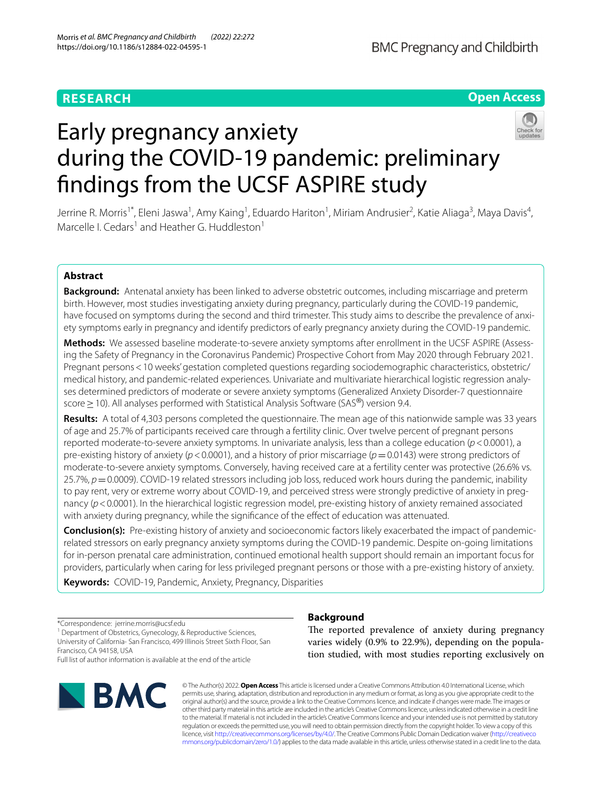## **RESEARCH**

## **Open Access**

# Early pregnancy anxiety during the COVID-19 pandemic: preliminary fndings from the UCSF ASPIRE study

Jerrine R. Morris<sup>1\*</sup>, Eleni Jaswa<sup>1</sup>, Amy Kaing<sup>1</sup>, Eduardo Hariton<sup>1</sup>, Miriam Andrusier<sup>2</sup>, Katie Aliaga<sup>3</sup>, Maya Davis<sup>4</sup>, Marcelle I. Cedars<sup>1</sup> and Heather G. Huddleston<sup>1</sup>

## **Abstract**

**Background:** Antenatal anxiety has been linked to adverse obstetric outcomes, including miscarriage and preterm birth. However, most studies investigating anxiety during pregnancy, particularly during the COVID-19 pandemic, have focused on symptoms during the second and third trimester. This study aims to describe the prevalence of anxiety symptoms early in pregnancy and identify predictors of early pregnancy anxiety during the COVID-19 pandemic.

**Methods:** We assessed baseline moderate-to-severe anxiety symptoms after enrollment in the UCSF ASPIRE (Assessing the Safety of Pregnancy in the Coronavirus Pandemic) Prospective Cohort from May 2020 through February 2021. Pregnant persons<10 weeks' gestation completed questions regarding sociodemographic characteristics, obstetric/ medical history, and pandemic-related experiences. Univariate and multivariate hierarchical logistic regression analyses determined predictors of moderate or severe anxiety symptoms (Generalized Anxiety Disorder-7 questionnaire score > 10). All analyses performed with Statistical Analysis Software (SAS<sup>®</sup>) version 9.4.

**Results:** A total of 4,303 persons completed the questionnaire. The mean age of this nationwide sample was 33 years of age and 25.7% of participants received care through a fertility clinic. Over twelve percent of pregnant persons reported moderate-to-severe anxiety symptoms. In univariate analysis, less than a college education (*p*<0.0001), a pre-existing history of anxiety (*p*<0.0001), and a history of prior miscarriage (*p*=0.0143) were strong predictors of moderate-to-severe anxiety symptoms. Conversely, having received care at a fertility center was protective (26.6% vs. 25.7%,  $p = 0.0009$ ). COVID-19 related stressors including job loss, reduced work hours during the pandemic, inability to pay rent, very or extreme worry about COVID-19, and perceived stress were strongly predictive of anxiety in pregnancy (*p*<0.0001). In the hierarchical logistic regression model, pre-existing history of anxiety remained associated with anxiety during pregnancy, while the signifcance of the efect of education was attenuated.

**Conclusion(s):** Pre-existing history of anxiety and socioeconomic factors likely exacerbated the impact of pandemicrelated stressors on early pregnancy anxiety symptoms during the COVID-19 pandemic. Despite on-going limitations for in-person prenatal care administration, continued emotional health support should remain an important focus for providers, particularly when caring for less privileged pregnant persons or those with a pre-existing history of anxiety.

**Keywords:** COVID-19, Pandemic, Anxiety, Pregnancy, Disparities

\*Correspondence: jerrine.morris@ucsf.edu <sup>1</sup> Department of Obstetrics, Gynecology, & Reproductive Sciences, University of California- San Francisco, 499 Illinois Street Sixth Floor, San Francisco, CA 94158, USA

Full list of author information is available at the end of the article



## **Background**

The reported prevalence of anxiety during pregnancy varies widely (0.9% to 22.9%), depending on the population studied, with most studies reporting exclusively on

© The Author(s) 2022. **Open Access** This article is licensed under a Creative Commons Attribution 4.0 International License, which permits use, sharing, adaptation, distribution and reproduction in any medium or format, as long as you give appropriate credit to the original author(s) and the source, provide a link to the Creative Commons licence, and indicate if changes were made. The images or other third party material in this article are included in the article's Creative Commons licence, unless indicated otherwise in a credit line to the material. If material is not included in the article's Creative Commons licence and your intended use is not permitted by statutory regulation or exceeds the permitted use, you will need to obtain permission directly from the copyright holder. To view a copy of this licence, visit [http://creativecommons.org/licenses/by/4.0/.](http://creativecommons.org/licenses/by/4.0/) The Creative Commons Public Domain Dedication waiver ([http://creativeco](http://creativecommons.org/publicdomain/zero/1.0/) [mmons.org/publicdomain/zero/1.0/](http://creativecommons.org/publicdomain/zero/1.0/)) applies to the data made available in this article, unless otherwise stated in a credit line to the data.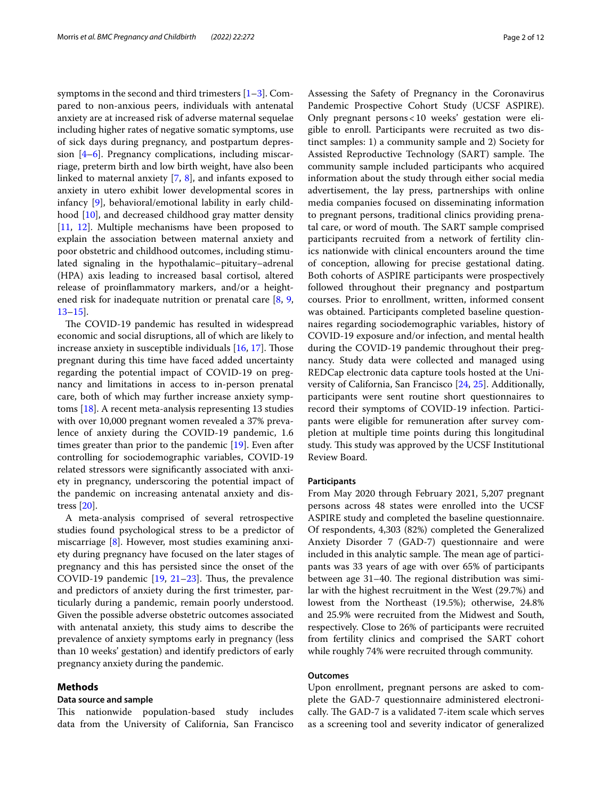symptoms in the second and third trimesters  $[1-3]$  $[1-3]$  $[1-3]$ . Compared to non-anxious peers, individuals with antenatal anxiety are at increased risk of adverse maternal sequelae including higher rates of negative somatic symptoms, use of sick days during pregnancy, and postpartum depression [[4–](#page-10-2)[6\]](#page-10-3). Pregnancy complications, including miscarriage, preterm birth and low birth weight, have also been linked to maternal anxiety [\[7](#page-10-4), [8](#page-10-5)], and infants exposed to anxiety in utero exhibit lower developmental scores in infancy [[9\]](#page-10-6), behavioral/emotional lability in early childhood [\[10](#page-10-7)], and decreased childhood gray matter density [[11,](#page-11-0) [12](#page-11-1)]. Multiple mechanisms have been proposed to explain the association between maternal anxiety and poor obstetric and childhood outcomes, including stimulated signaling in the hypothalamic–pituitary–adrenal (HPA) axis leading to increased basal cortisol, altered release of proinfammatory markers, and/or a heightened risk for inadequate nutrition or prenatal care [\[8](#page-10-5), [9](#page-10-6), [13–](#page-11-2)[15](#page-11-3)].

The COVID-19 pandemic has resulted in widespread economic and social disruptions, all of which are likely to increase anxiety in susceptible individuals [[16,](#page-11-4) [17](#page-11-5)]. Those pregnant during this time have faced added uncertainty regarding the potential impact of COVID-19 on pregnancy and limitations in access to in-person prenatal care, both of which may further increase anxiety symptoms [[18](#page-11-6)]. A recent meta-analysis representing 13 studies with over 10,000 pregnant women revealed a 37% prevalence of anxiety during the COVID-19 pandemic, 1.6 times greater than prior to the pandemic [\[19\]](#page-11-7). Even after controlling for sociodemographic variables, COVID-19 related stressors were signifcantly associated with anxiety in pregnancy, underscoring the potential impact of the pandemic on increasing antenatal anxiety and distress [\[20](#page-11-8)].

A meta-analysis comprised of several retrospective studies found psychological stress to be a predictor of miscarriage [\[8](#page-10-5)]. However, most studies examining anxiety during pregnancy have focused on the later stages of pregnancy and this has persisted since the onset of the COVID-19 pandemic  $[19, 21-23]$  $[19, 21-23]$  $[19, 21-23]$  $[19, 21-23]$  $[19, 21-23]$ . Thus, the prevalence and predictors of anxiety during the frst trimester, particularly during a pandemic, remain poorly understood. Given the possible adverse obstetric outcomes associated with antenatal anxiety, this study aims to describe the prevalence of anxiety symptoms early in pregnancy (less than 10 weeks' gestation) and identify predictors of early pregnancy anxiety during the pandemic.

#### **Methods**

#### **Data source and sample**

This nationwide population-based study includes data from the University of California, San Francisco

Assessing the Safety of Pregnancy in the Coronavirus Pandemic Prospective Cohort Study (UCSF ASPIRE). Only pregnant persons<10 weeks' gestation were eligible to enroll. Participants were recruited as two distinct samples: 1) a community sample and 2) Society for Assisted Reproductive Technology (SART) sample. The community sample included participants who acquired information about the study through either social media advertisement, the lay press, partnerships with online media companies focused on disseminating information to pregnant persons, traditional clinics providing prenatal care, or word of mouth. The SART sample comprised participants recruited from a network of fertility clinics nationwide with clinical encounters around the time of conception, allowing for precise gestational dating. Both cohorts of ASPIRE participants were prospectively followed throughout their pregnancy and postpartum courses. Prior to enrollment, written, informed consent was obtained. Participants completed baseline questionnaires regarding sociodemographic variables, history of COVID-19 exposure and/or infection, and mental health during the COVID-19 pandemic throughout their pregnancy. Study data were collected and managed using REDCap electronic data capture tools hosted at the University of California, San Francisco [[24](#page-11-11), [25](#page-11-12)]. Additionally, participants were sent routine short questionnaires to record their symptoms of COVID-19 infection. Participants were eligible for remuneration after survey completion at multiple time points during this longitudinal study. This study was approved by the UCSF Institutional Review Board.

#### **Participants**

From May 2020 through February 2021, 5,207 pregnant persons across 48 states were enrolled into the UCSF ASPIRE study and completed the baseline questionnaire. Of respondents, 4,303 (82%) completed the Generalized Anxiety Disorder 7 (GAD-7) questionnaire and were included in this analytic sample. The mean age of participants was 33 years of age with over 65% of participants between age  $31-40$ . The regional distribution was similar with the highest recruitment in the West (29.7%) and lowest from the Northeast (19.5%); otherwise, 24.8% and 25.9% were recruited from the Midwest and South, respectively. Close to 26% of participants were recruited from fertility clinics and comprised the SART cohort while roughly 74% were recruited through community.

#### **Outcomes**

Upon enrollment, pregnant persons are asked to complete the GAD-7 questionnaire administered electronically. The GAD-7 is a validated 7-item scale which serves as a screening tool and severity indicator of generalized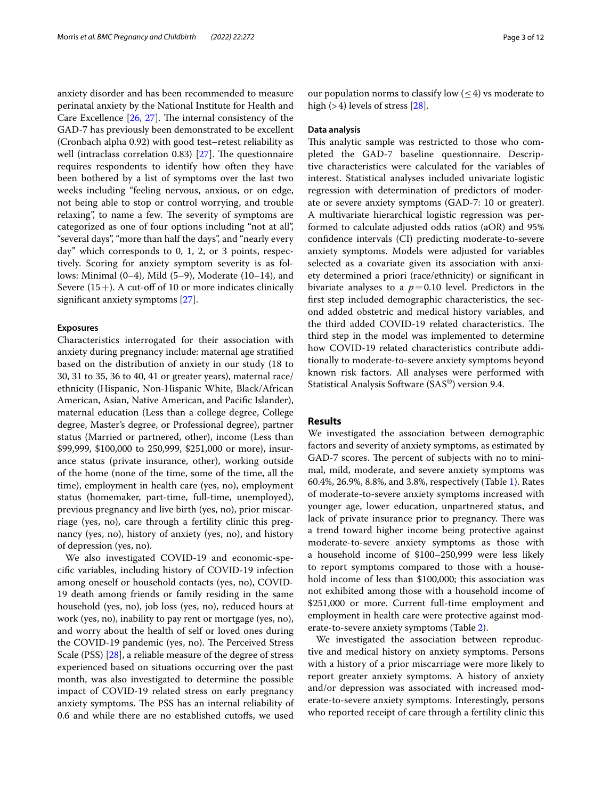anxiety disorder and has been recommended to measure perinatal anxiety by the National Institute for Health and Care Excellence  $[26, 27]$  $[26, 27]$  $[26, 27]$  $[26, 27]$ . The internal consistency of the GAD-7 has previously been demonstrated to be excellent (Cronbach alpha 0.92) with good test–retest reliability as well (intraclass correlation 0.83)  $[27]$  $[27]$ . The questionnaire requires respondents to identify how often they have been bothered by a list of symptoms over the last two weeks including "feeling nervous, anxious, or on edge, not being able to stop or control worrying, and trouble relaxing", to name a few. The severity of symptoms are categorized as one of four options including "not at all", "several days", "more than half the days", and "nearly every day" which corresponds to 0, 1, 2, or 3 points, respectively. Scoring for anxiety symptom severity is as follows: Minimal (0–4), Mild (5–9), Moderate (10–14), and Severe  $(15+)$ . A cut-off of 10 or more indicates clinically signifcant anxiety symptoms [[27\]](#page-11-14).

#### **Exposures**

Characteristics interrogated for their association with anxiety during pregnancy include: maternal age stratifed based on the distribution of anxiety in our study (18 to 30, 31 to 35, 36 to 40, 41 or greater years), maternal race/ ethnicity (Hispanic, Non-Hispanic White, Black/African American, Asian, Native American, and Pacifc Islander), maternal education (Less than a college degree, College degree, Master's degree, or Professional degree), partner status (Married or partnered, other), income (Less than \$99,999, \$100,000 to 250,999, \$251,000 or more), insurance status (private insurance, other), working outside of the home (none of the time, some of the time, all the time), employment in health care (yes, no), employment status (homemaker, part-time, full-time, unemployed), previous pregnancy and live birth (yes, no), prior miscarriage (yes, no), care through a fertility clinic this pregnancy (yes, no), history of anxiety (yes, no), and history of depression (yes, no).

We also investigated COVID-19 and economic-specifc variables, including history of COVID-19 infection among oneself or household contacts (yes, no), COVID-19 death among friends or family residing in the same household (yes, no), job loss (yes, no), reduced hours at work (yes, no), inability to pay rent or mortgage (yes, no), and worry about the health of self or loved ones during the COVID-19 pandemic (yes, no). The Perceived Stress Scale (PSS) [[28\]](#page-11-15), a reliable measure of the degree of stress experienced based on situations occurring over the past month, was also investigated to determine the possible impact of COVID-19 related stress on early pregnancy anxiety symptoms. The PSS has an internal reliability of 0.6 and while there are no established cutofs, we used our population norms to classify low  $(\leq 4)$  vs moderate to high  $(>4)$  levels of stress  $[28]$ .

#### **Data analysis**

This analytic sample was restricted to those who completed the GAD-7 baseline questionnaire. Descriptive characteristics were calculated for the variables of interest. Statistical analyses included univariate logistic regression with determination of predictors of moderate or severe anxiety symptoms (GAD-7: 10 or greater). A multivariate hierarchical logistic regression was performed to calculate adjusted odds ratios (aOR) and 95% confdence intervals (CI) predicting moderate-to-severe anxiety symptoms. Models were adjusted for variables selected as a covariate given its association with anxiety determined a priori (race/ethnicity) or signifcant in bivariate analyses to a  $p=0.10$  level. Predictors in the frst step included demographic characteristics, the second added obstetric and medical history variables, and the third added COVID-19 related characteristics. The third step in the model was implemented to determine how COVID-19 related characteristics contribute additionally to moderate-to-severe anxiety symptoms beyond known risk factors. All analyses were performed with Statistical Analysis Software (SAS®) version 9.4.

### **Results**

We investigated the association between demographic factors and severity of anxiety symptoms, as estimated by GAD-7 scores. The percent of subjects with no to minimal, mild, moderate, and severe anxiety symptoms was 60.4%, 26.9%, 8.8%, and 3.8%, respectively (Table [1\)](#page-3-0). Rates of moderate-to-severe anxiety symptoms increased with younger age, lower education, unpartnered status, and lack of private insurance prior to pregnancy. There was a trend toward higher income being protective against moderate-to-severe anxiety symptoms as those with a household income of \$100–250,999 were less likely to report symptoms compared to those with a household income of less than \$100,000; this association was not exhibited among those with a household income of \$251,000 or more. Current full-time employment and employment in health care were protective against moderate-to-severe anxiety symptoms (Table [2\)](#page-5-0).

We investigated the association between reproductive and medical history on anxiety symptoms. Persons with a history of a prior miscarriage were more likely to report greater anxiety symptoms. A history of anxiety and/or depression was associated with increased moderate-to-severe anxiety symptoms. Interestingly, persons who reported receipt of care through a fertility clinic this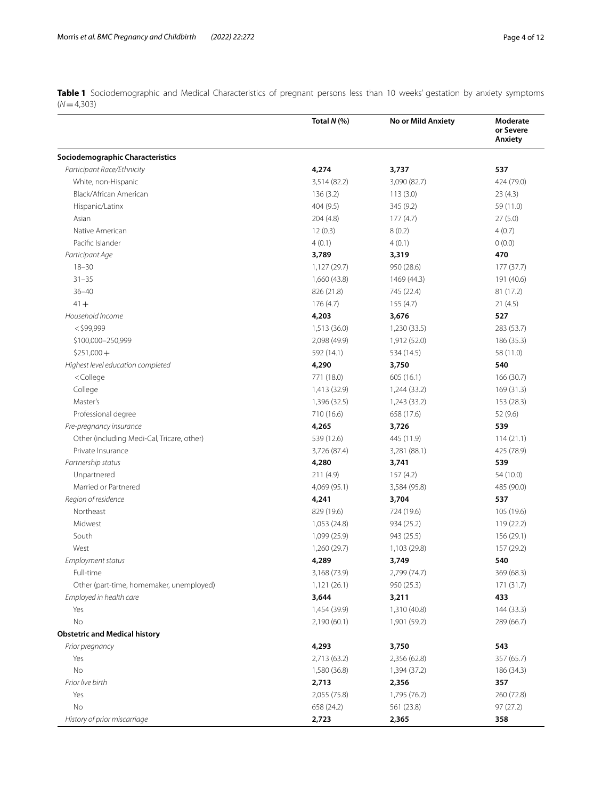<span id="page-3-0"></span>**Table 1** Sociodemographic and Medical Characteristics of pregnant persons less than 10 weeks' gestation by anxiety symptoms (*N*=4,303)

|                                                                                     | Total $N$ (%) | No or Mild Anxiety | Moderate<br>or Severe<br>Anxiety |
|-------------------------------------------------------------------------------------|---------------|--------------------|----------------------------------|
| Sociodemographic Characteristics                                                    |               |                    |                                  |
| Participant Race/Ethnicity                                                          | 4,274         | 3,737              | 537                              |
| White, non-Hispanic                                                                 | 3,514 (82.2)  | 3,090 (82.7)       | 424 (79.0)                       |
| Black/African American                                                              | 136(3.2)      | 113(3.0)           | 23(4.3)                          |
| Hispanic/Latinx                                                                     | 404 (9.5)     | 345 (9.2)          | 59 (11.0)                        |
| Asian                                                                               | 204(4.8)      | 177(4.7)           | 27(5.0)                          |
| Native American                                                                     | 12(0.3)       | 8(0.2)             | 4(0.7)                           |
| Pacific Islander                                                                    | 4(0.1)        | 4(0.1)             | 0(0.0)                           |
| Participant Age                                                                     | 3,789         | 3,319              | 470                              |
| $18 - 30$                                                                           | 1,127 (29.7)  | 950 (28.6)         | 177 (37.7)                       |
| $31 - 35$                                                                           | 1,660 (43.8)  | 1469 (44.3)        | 191 (40.6)                       |
| $36 - 40$                                                                           | 826 (21.8)    | 745 (22.4)         | 81 (17.2)                        |
| $41 +$                                                                              | 176(4.7)      | 155 (4.7)          | 21(4.5)                          |
| Household Income                                                                    | 4,203         | 3,676              | 527                              |
| $<$ \$99,999                                                                        | 1,513 (36.0)  | 1,230 (33.5)       | 283 (53.7)                       |
| \$100,000-250,999                                                                   | 2,098 (49.9)  | 1,912 (52.0)       | 186 (35.3)                       |
| $$251,000+$                                                                         | 592 (14.1)    | 534 (14.5)         | 58 (11.0)                        |
| Highest level education completed                                                   | 4,290         | 3,750              | 540                              |
| <college< td=""><td>771 (18.0)</td><td>605(16.1)</td><td>166 (30.7)</td></college<> | 771 (18.0)    | 605(16.1)          | 166 (30.7)                       |
| College                                                                             | 1,413 (32.9)  | 1,244 (33.2)       | 169 (31.3)                       |
| Master's                                                                            | 1,396 (32.5)  | 1,243 (33.2)       | 153 (28.3)                       |
| Professional degree                                                                 | 710 (16.6)    | 658 (17.6)         | 52 (9.6)                         |
| Pre-pregnancy insurance                                                             | 4,265         | 3,726              | 539                              |
| Other (including Medi-Cal, Tricare, other)                                          | 539 (12.6)    | 445 (11.9)         | 114(21.1)                        |
| Private Insurance                                                                   | 3,726 (87.4)  | 3,281 (88.1)       | 425 (78.9)                       |
| Partnership status                                                                  | 4,280         | 3,741              | 539                              |
| Unpartnered                                                                         | 211(4.9)      | 157(4.2)           | 54 (10.0)                        |
| Married or Partnered                                                                | 4,069 (95.1)  | 3,584 (95.8)       | 485 (90.0)                       |
| Region of residence                                                                 | 4,241         | 3,704              | 537                              |
| Northeast                                                                           | 829 (19.6)    | 724 (19.6)         | 105 (19.6)                       |
| Midwest                                                                             | 1,053 (24.8)  | 934 (25.2)         | 119(22.2)                        |
| South                                                                               | 1,099 (25.9)  | 943 (25.5)         | 156 (29.1)                       |
| West                                                                                | 1,260 (29.7)  | 1,103 (29.8)       | 157 (29.2)                       |
| Employment status                                                                   | 4,289         | 3,749              | 540                              |
| Full-time                                                                           | 3,168 (73.9)  | 2,799 (74.7)       | 369 (68.3)                       |
| Other (part-time, homemaker, unemployed)                                            | 1,121(26.1)   | 950 (25.3)         | 171 (31.7)                       |
| Employed in health care                                                             | 3,644         | 3,211              | 433                              |
| Yes                                                                                 | 1,454 (39.9)  | 1,310 (40.8)       | 144 (33.3)                       |
| No                                                                                  | 2,190 (60.1)  | 1,901 (59.2)       | 289 (66.7)                       |
| <b>Obstetric and Medical history</b>                                                |               |                    |                                  |
| Prior pregnancy                                                                     | 4,293         | 3,750              | 543                              |
| Yes                                                                                 | 2,713 (63.2)  | 2,356 (62.8)       | 357 (65.7)                       |
| No                                                                                  | 1,580 (36.8)  | 1,394 (37.2)       | 186 (34.3)                       |
| Prior live birth                                                                    | 2,713         | 2,356              | 357                              |
| Yes                                                                                 | 2,055 (75.8)  | 1,795 (76.2)       | 260 (72.8)                       |
| No                                                                                  | 658 (24.2)    | 561 (23.8)         | 97(27.2)                         |
| History of prior miscarriage                                                        | 2,723         | 2,365              | 358                              |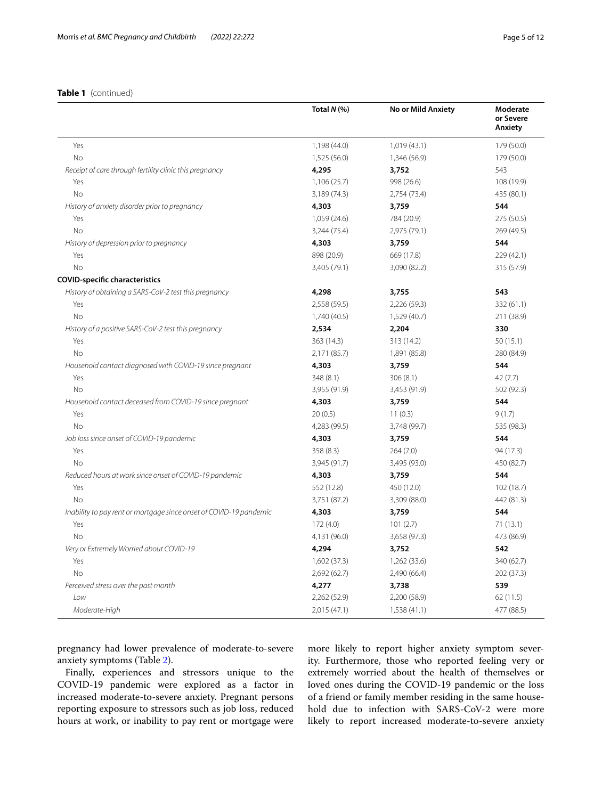#### **Table 1** (continued)

|                                                                    | Total N (%)  | No or Mild Anxiety | Moderate<br>or Severe<br>Anxiety |
|--------------------------------------------------------------------|--------------|--------------------|----------------------------------|
| Yes                                                                | 1,198 (44.0) | 1,019(43.1)        | 179 (50.0)                       |
| <b>No</b>                                                          | 1,525 (56.0) | 1,346 (56.9)       | 179 (50.0)                       |
| Receipt of care through fertility clinic this pregnancy            | 4,295        | 3,752              | 543                              |
| Yes                                                                | 1,106(25.7)  | 998 (26.6)         | 108 (19.9)                       |
| <b>No</b>                                                          | 3,189 (74.3) | 2,754 (73.4)       | 435 (80.1)                       |
| History of anxiety disorder prior to pregnancy                     | 4,303        | 3,759              | 544                              |
| Yes                                                                | 1,059 (24.6) | 784 (20.9)         | 275 (50.5)                       |
| <b>No</b>                                                          | 3,244 (75.4) | 2,975 (79.1)       | 269 (49.5)                       |
| History of depression prior to pregnancy                           | 4,303        | 3,759              | 544                              |
| Yes                                                                | 898 (20.9)   | 669 (17.8)         | 229 (42.1)                       |
| <b>No</b>                                                          | 3,405 (79.1) | 3,090 (82.2)       | 315 (57.9)                       |
| <b>COVID-specific characteristics</b>                              |              |                    |                                  |
| History of obtaining a SARS-CoV-2 test this pregnancy              | 4,298        | 3,755              | 543                              |
| Yes                                                                | 2,558 (59.5) | 2,226 (59.3)       | 332 (61.1)                       |
| <b>No</b>                                                          | 1,740 (40.5) | 1,529 (40.7)       | 211 (38.9)                       |
| History of a positive SARS-CoV-2 test this pregnancy               | 2,534        | 2,204              | 330                              |
| Yes                                                                | 363 (14.3)   | 313 (14.2)         | 50(15.1)                         |
| <b>No</b>                                                          | 2,171 (85.7) | 1,891 (85.8)       | 280 (84.9)                       |
| Household contact diagnosed with COVID-19 since pregnant           | 4,303        | 3,759              | 544                              |
| Yes                                                                | 348 (8.1)    | 306(8.1)           | 42(7.7)                          |
| <b>No</b>                                                          | 3,955 (91.9) | 3,453 (91.9)       | 502 (92.3)                       |
| Household contact deceased from COVID-19 since pregnant            | 4,303        | 3,759              | 544                              |
| Yes                                                                | 20(0.5)      | 11(0.3)            | 9(1.7)                           |
| <b>No</b>                                                          | 4,283 (99.5) | 3,748 (99.7)       | 535 (98.3)                       |
| Job loss since onset of COVID-19 pandemic                          | 4,303        | 3,759              | 544                              |
| Yes                                                                | 358 (8.3)    | 264 (7.0)          | 94 (17.3)                        |
| <b>No</b>                                                          | 3,945 (91.7) | 3,495 (93.0)       | 450 (82.7)                       |
| Reduced hours at work since onset of COVID-19 pandemic             | 4,303        | 3,759              | 544                              |
| Yes                                                                | 552 (12.8)   | 450 (12.0)         | 102 (18.7)                       |
| <b>No</b>                                                          | 3,751 (87.2) | 3,309 (88.0)       | 442 (81.3)                       |
| Inability to pay rent or mortgage since onset of COVID-19 pandemic | 4,303        | 3,759              | 544                              |
| Yes                                                                | 172(4.0)     | 101(2.7)           | 71(13.1)                         |
| <b>No</b>                                                          | 4,131 (96.0) | 3,658 (97.3)       | 473 (86.9)                       |
| Very or Extremely Worried about COVID-19                           | 4,294        | 3,752              | 542                              |
| Yes                                                                | 1,602 (37.3) | 1,262 (33.6)       | 340 (62.7)                       |
| No                                                                 | 2,692(62.7)  | 2,490 (66.4)       | 202 (37.3)                       |
| Perceived stress over the past month                               | 4,277        | 3,738              | 539                              |
| Low                                                                | 2,262 (52.9) | 2,200 (58.9)       | 62(11.5)                         |
| Moderate-High                                                      | 2,015 (47.1) | 1,538(41.1)        | 477 (88.5)                       |

pregnancy had lower prevalence of moderate-to-severe anxiety symptoms (Table [2\)](#page-5-0).

Finally, experiences and stressors unique to the COVID-19 pandemic were explored as a factor in increased moderate-to-severe anxiety. Pregnant persons reporting exposure to stressors such as job loss, reduced hours at work, or inability to pay rent or mortgage were

more likely to report higher anxiety symptom severity. Furthermore, those who reported feeling very or extremely worried about the health of themselves or loved ones during the COVID-19 pandemic or the loss of a friend or family member residing in the same household due to infection with SARS-CoV-2 were more likely to report increased moderate-to-severe anxiety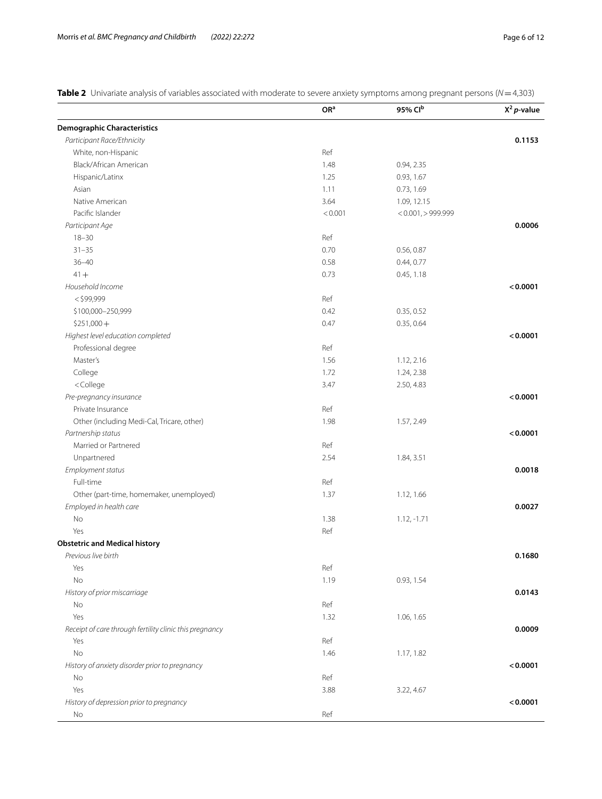<span id="page-5-0"></span>**Table 2** Univariate analysis of variables associated with moderate to severe anxiety symptoms among pregnant persons (*N*=4,303)

|                                                                      | OR <sup>a</sup> | 95% Clb               | $X^2 p$ -value |
|----------------------------------------------------------------------|-----------------|-----------------------|----------------|
| <b>Demographic Characteristics</b>                                   |                 |                       |                |
| Participant Race/Ethnicity                                           |                 |                       | 0.1153         |
| White, non-Hispanic                                                  | Ref             |                       |                |
| Black/African American                                               | 1.48            | 0.94, 2.35            |                |
| Hispanic/Latinx                                                      | 1.25            | 0.93, 1.67            |                |
| Asian                                                                | 1.11            | 0.73, 1.69            |                |
| Native American                                                      | 3.64            | 1.09, 12.15           |                |
| Pacific Islander                                                     | < 0.001         | $< 0.001$ , > 999.999 |                |
| Participant Age                                                      |                 |                       | 0.0006         |
| $18 - 30$                                                            | Ref             |                       |                |
| $31 - 35$                                                            | 0.70            | 0.56, 0.87            |                |
| $36 - 40$                                                            | 0.58            | 0.44, 0.77            |                |
| $41 +$                                                               | 0.73            | 0.45, 1.18            |                |
| Household Income                                                     |                 |                       | < 0.0001       |
| $<$ \$99,999                                                         | Ref             |                       |                |
| \$100,000-250,999                                                    | 0.42            | 0.35, 0.52            |                |
| $$251,000+$                                                          | 0.47            | 0.35, 0.64            |                |
| Highest level education completed                                    |                 |                       | < 0.0001       |
| Professional degree                                                  | Ref             |                       |                |
| Master's                                                             | 1.56            | 1.12, 2.16            |                |
| College                                                              | 1.72            | 1.24, 2.38            |                |
| <college< td=""><td>3.47</td><td>2.50, 4.83</td><td></td></college<> | 3.47            | 2.50, 4.83            |                |
| Pre-pregnancy insurance                                              |                 |                       | < 0.0001       |
| Private Insurance                                                    | Ref             |                       |                |
| Other (including Medi-Cal, Tricare, other)                           | 1.98            | 1.57, 2.49            |                |
| Partnership status                                                   |                 |                       | < 0.0001       |
| Married or Partnered                                                 | Ref             |                       |                |
| Unpartnered                                                          | 2.54            | 1.84, 3.51            |                |
| Employment status                                                    |                 |                       | 0.0018         |
| Full-time                                                            | Ref             |                       |                |
| Other (part-time, homemaker, unemployed)                             | 1.37            | 1.12, 1.66            |                |
| Employed in health care                                              |                 |                       | 0.0027         |
| No                                                                   | 1.38            | $1.12, -1.71$         |                |
| Yes                                                                  | Ref             |                       |                |
| <b>Obstetric and Medical history</b>                                 |                 |                       |                |
| Previous live birth                                                  |                 |                       | 0.1680         |
| Yes                                                                  | Ref             |                       |                |
| No                                                                   | 1.19            | 0.93, 1.54            |                |
| History of prior miscarriage                                         |                 |                       | 0.0143         |
| No                                                                   | Ref             |                       |                |
| Yes                                                                  | 1.32            | 1.06, 1.65            |                |
| Receipt of care through fertility clinic this pregnancy              |                 |                       | 0.0009         |
| Yes                                                                  | Ref             |                       |                |
| No                                                                   | 1.46            | 1.17, 1.82            |                |
| History of anxiety disorder prior to pregnancy                       |                 |                       | < 0.0001       |
| No                                                                   | Ref             |                       |                |
| Yes                                                                  | 3.88            | 3.22, 4.67            |                |
| History of depression prior to pregnancy                             |                 |                       | < 0.0001       |
| No                                                                   | Ref             |                       |                |
|                                                                      |                 |                       |                |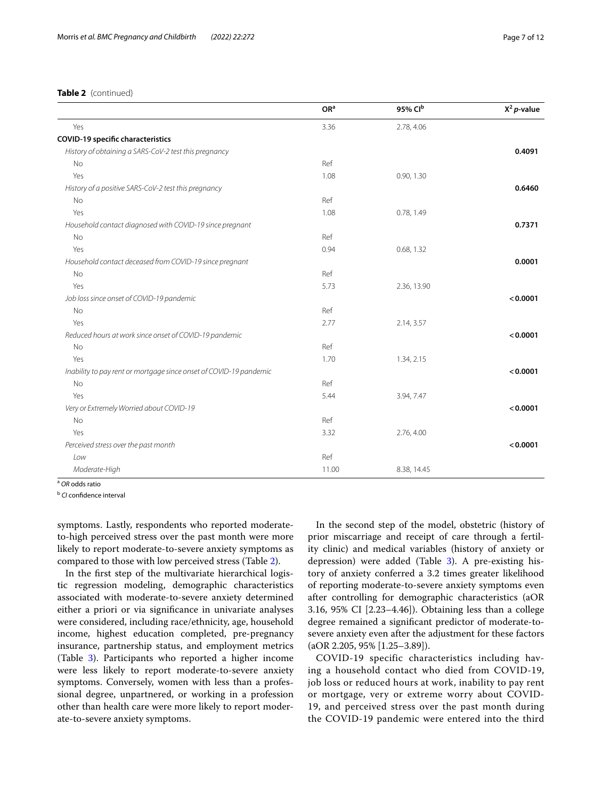| 3.36<br>Ref<br>1.08 | 2.78, 4.06<br>0.90, 1.30 | 0.4091   |
|---------------------|--------------------------|----------|
|                     |                          |          |
|                     |                          |          |
|                     |                          |          |
|                     |                          |          |
|                     |                          |          |
|                     |                          | 0.6460   |
|                     |                          |          |
| 1.08                | 0.78, 1.49               |          |
|                     |                          | 0.7371   |
| Ref                 |                          |          |
| 0.94                | 0.68, 1.32               |          |
|                     |                          | 0.0001   |
| Ref                 |                          |          |
| 5.73                | 2.36, 13.90              |          |
|                     |                          | < 0.0001 |
| Ref                 |                          |          |
| 2.77                | 2.14, 3.57               |          |
|                     |                          | < 0.0001 |
| Ref                 |                          |          |
| 1.70                | 1.34, 2.15               |          |
|                     |                          | < 0.0001 |
| Ref                 |                          |          |
| 5.44                | 3.94, 7.47               |          |
|                     |                          | < 0.0001 |
| Ref                 |                          |          |
| 3.32                | 2.76, 4.00               |          |
|                     |                          | < 0.0001 |
| Ref                 |                          |          |
| 11.00               | 8.38, 14.45              |          |
|                     | Ref                      |          |

**b** *CI* confidence interval

symptoms. Lastly, respondents who reported moderateto-high perceived stress over the past month were more likely to report moderate-to-severe anxiety symptoms as compared to those with low perceived stress (Table [2](#page-5-0)).

In the frst step of the multivariate hierarchical logistic regression modeling, demographic characteristics associated with moderate-to-severe anxiety determined either a priori or via signifcance in univariate analyses were considered, including race/ethnicity, age, household income, highest education completed, pre-pregnancy insurance, partnership status, and employment metrics (Table [3](#page-7-0)). Participants who reported a higher income were less likely to report moderate-to-severe anxiety symptoms. Conversely, women with less than a professional degree, unpartnered, or working in a profession other than health care were more likely to report moderate-to-severe anxiety symptoms.

In the second step of the model, obstetric (history of prior miscarriage and receipt of care through a fertility clinic) and medical variables (history of anxiety or depression) were added (Table [3\)](#page-7-0). A pre-existing history of anxiety conferred a 3.2 times greater likelihood of reporting moderate-to-severe anxiety symptoms even after controlling for demographic characteristics (aOR 3.16, 95% CI [2.23–4.46]). Obtaining less than a college degree remained a signifcant predictor of moderate-tosevere anxiety even after the adjustment for these factors (aOR 2.205, 95% [1.25–3.89]).

COVID-19 specific characteristics including having a household contact who died from COVID-19, job loss or reduced hours at work, inability to pay rent or mortgage, very or extreme worry about COVID-19, and perceived stress over the past month during the COVID-19 pandemic were entered into the third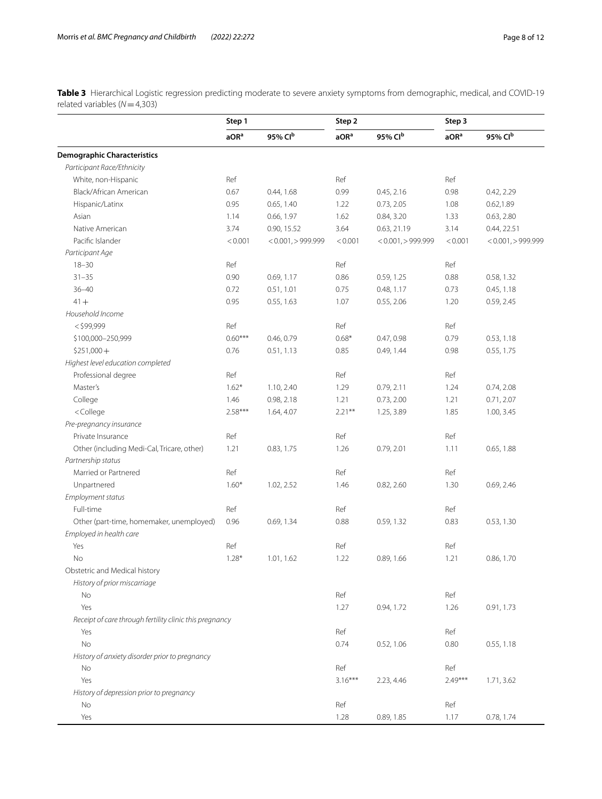<span id="page-7-0"></span>**Table 3** Hierarchical Logistic regression predicting moderate to severe anxiety symptoms from demographic, medical, and COVID-19 related variables (*N*=4,303)

|                                                                                                                                                            | Step 1           |                         | Step 2           |                         | Step 3           |                         |
|------------------------------------------------------------------------------------------------------------------------------------------------------------|------------------|-------------------------|------------------|-------------------------|------------------|-------------------------|
|                                                                                                                                                            | aOR <sup>a</sup> | 95% Clb                 | aOR <sup>a</sup> | 95% Clb                 | aOR <sup>a</sup> | 95% Clb                 |
| <b>Demographic Characteristics</b>                                                                                                                         |                  |                         |                  |                         |                  |                         |
| Participant Race/Ethnicity                                                                                                                                 |                  |                         |                  |                         |                  |                         |
| White, non-Hispanic                                                                                                                                        | Ref              |                         | Ref              |                         | Ref              |                         |
| Black/African American                                                                                                                                     | 0.67             | 0.44, 1.68              | 0.99             | 0.45, 2.16              | 0.98             | 0.42, 2.29              |
| Hispanic/Latinx                                                                                                                                            | 0.95             | 0.65, 1.40              | 1.22             | 0.73, 2.05              | 1.08             | 0.62, 1.89              |
| Asian                                                                                                                                                      | 1.14             | 0.66, 1.97              | 1.62             | 0.84, 3.20              | 1.33             | 0.63, 2.80              |
| Native American                                                                                                                                            | 3.74             | 0.90, 15.52             | 3.64             | 0.63, 21.19             | 3.14             | 0.44, 22.51             |
| Pacific Islander                                                                                                                                           | < 0.001          | $< 0.001$ , $> 999.999$ | < 0.001          | $< 0.001$ , $> 999.999$ | < 0.001          | $< 0.001$ , $> 999.999$ |
| Participant Age                                                                                                                                            |                  |                         |                  |                         |                  |                         |
| $18 - 30$                                                                                                                                                  | Ref              |                         | Ref              |                         | Ref              |                         |
| $31 - 35$                                                                                                                                                  | 0.90             | 0.69, 1.17              | 0.86             | 0.59, 1.25              | 0.88             | 0.58, 1.32              |
| $36 - 40$                                                                                                                                                  | 0.72             | 0.51, 1.01              | 0.75             | 0.48, 1.17              | 0.73             | 0.45, 1.18              |
| $41 +$                                                                                                                                                     | 0.95             | 0.55, 1.63              | 1.07             | 0.55, 2.06              | 1.20             | 0.59, 2.45              |
| Household Income                                                                                                                                           |                  |                         |                  |                         |                  |                         |
| $<$ \$99,999                                                                                                                                               | Ref              |                         | Ref              |                         | Ref              |                         |
| \$100,000-250,999                                                                                                                                          | $0.60***$        | 0.46, 0.79              | $0.68*$          | 0.47, 0.98              | 0.79             | 0.53, 1.18              |
| $$251,000+$                                                                                                                                                | 0.76             | 0.51, 1.13              | 0.85             | 0.49, 1.44              | 0.98             | 0.55, 1.75              |
| Highest level education completed                                                                                                                          |                  |                         |                  |                         |                  |                         |
| Professional degree                                                                                                                                        | Ref              |                         | Ref              |                         | Ref              |                         |
| Master's                                                                                                                                                   | $1.62*$          | 1.10, 2.40              | 1.29             | 0.79, 2.11              | 1.24             | 0.74, 2.08              |
| College                                                                                                                                                    | 1.46             | 0.98, 2.18              | 1.21             | 0.73, 2.00              | 1.21             | 0.71, 2.07              |
| <college< td=""><td><math>2.58***</math></td><td>1.64, 4.07</td><td><math>2.21**</math></td><td>1.25, 3.89</td><td>1.85</td><td>1.00, 3.45</td></college<> | $2.58***$        | 1.64, 4.07              | $2.21**$         | 1.25, 3.89              | 1.85             | 1.00, 3.45              |
| Pre-pregnancy insurance                                                                                                                                    |                  |                         |                  |                         |                  |                         |
| Private Insurance                                                                                                                                          | Ref              |                         | Ref              |                         | Ref              |                         |
| Other (including Medi-Cal, Tricare, other)                                                                                                                 | 1.21             | 0.83, 1.75              | 1.26             | 0.79, 2.01              | 1.11             | 0.65, 1.88              |
| Partnership status                                                                                                                                         |                  |                         |                  |                         |                  |                         |
| Married or Partnered                                                                                                                                       | Ref              |                         | Ref              |                         | Ref              |                         |
| Unpartnered                                                                                                                                                | $1.60*$          | 1.02, 2.52              | 1.46             | 0.82, 2.60              | 1.30             | 0.69, 2.46              |
| Employment status                                                                                                                                          |                  |                         |                  |                         |                  |                         |
| Full-time                                                                                                                                                  | Ref              |                         | Ref              |                         | Ref              |                         |
| Other (part-time, homemaker, unemployed)                                                                                                                   | 0.96             | 0.69, 1.34              | 0.88             | 0.59, 1.32              | 0.83             | 0.53, 1.30              |
| Employed in health care                                                                                                                                    |                  |                         |                  |                         |                  |                         |
| Yes                                                                                                                                                        | Ref              |                         | Ref              |                         | Ref              |                         |
| No                                                                                                                                                         | $1.28*$          | 1.01, 1.62              | 1.22             | 0.89, 1.66              | 1.21             | 0.86, 1.70              |
| Obstetric and Medical history                                                                                                                              |                  |                         |                  |                         |                  |                         |
| History of prior miscarriage                                                                                                                               |                  |                         |                  |                         |                  |                         |
| No                                                                                                                                                         |                  |                         | Ref              |                         | Ref              |                         |
| Yes                                                                                                                                                        |                  |                         | 1.27             | 0.94, 1.72              | 1.26             | 0.91, 1.73              |
| Receipt of care through fertility clinic this pregnancy                                                                                                    |                  |                         |                  |                         |                  |                         |
| Yes                                                                                                                                                        |                  |                         | Ref              |                         | Ref              |                         |
| No                                                                                                                                                         |                  |                         | 0.74             | 0.52, 1.06              | 0.80             | 0.55, 1.18              |
| History of anxiety disorder prior to pregnancy                                                                                                             |                  |                         |                  |                         |                  |                         |
| No                                                                                                                                                         |                  |                         | Ref              |                         | Ref              |                         |
| Yes                                                                                                                                                        |                  |                         | $3.16***$        | 2.23, 4.46              | $2.49***$        | 1.71, 3.62              |
| History of depression prior to pregnancy                                                                                                                   |                  |                         |                  |                         |                  |                         |
| No                                                                                                                                                         |                  |                         | Ref              |                         | Ref              |                         |
| Yes                                                                                                                                                        |                  |                         | 1.28             | 0.89, 1.85              | 1.17             | 0.78, 1.74              |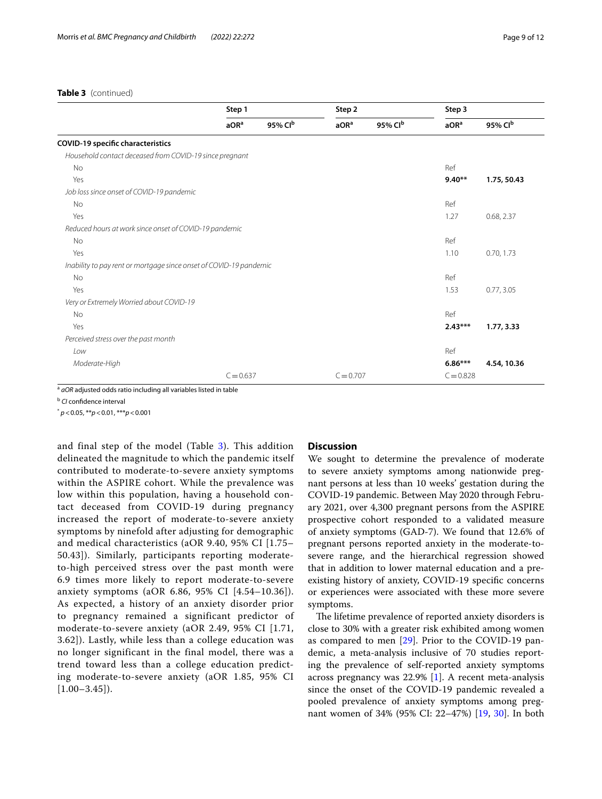#### **Table 3** (continued)

|                                                                    | Step 1           |         |                  | Step 2              |                  | Step 3      |  |
|--------------------------------------------------------------------|------------------|---------|------------------|---------------------|------------------|-------------|--|
|                                                                    | aOR <sup>a</sup> | 95% Clb | aOR <sup>a</sup> | 95% Cl <sup>b</sup> | aOR <sup>a</sup> | 95% Clb     |  |
| <b>COVID-19 specific characteristics</b>                           |                  |         |                  |                     |                  |             |  |
| Household contact deceased from COVID-19 since pregnant            |                  |         |                  |                     |                  |             |  |
| <b>No</b>                                                          |                  |         |                  |                     | Ref              |             |  |
| Yes                                                                |                  |         |                  |                     | $9.40**$         | 1.75, 50.43 |  |
| Job loss since onset of COVID-19 pandemic                          |                  |         |                  |                     |                  |             |  |
| <b>No</b>                                                          |                  |         |                  |                     | Ref              |             |  |
| Yes                                                                |                  |         |                  |                     | 1.27             | 0.68, 2.37  |  |
| Reduced hours at work since onset of COVID-19 pandemic             |                  |         |                  |                     |                  |             |  |
| <b>No</b>                                                          |                  |         |                  |                     | Ref              |             |  |
| Yes                                                                |                  |         |                  |                     | 1.10             | 0.70, 1.73  |  |
| Inability to pay rent or mortgage since onset of COVID-19 pandemic |                  |         |                  |                     |                  |             |  |
| <b>No</b>                                                          |                  |         |                  |                     | Ref              |             |  |
| Yes                                                                |                  |         |                  |                     | 1.53             | 0.77, 3.05  |  |
| Very or Extremely Worried about COVID-19                           |                  |         |                  |                     |                  |             |  |
| <b>No</b>                                                          |                  |         |                  |                     | Ref              |             |  |
| Yes                                                                |                  |         |                  |                     | $2.43***$        | 1.77, 3.33  |  |
| Perceived stress over the past month                               |                  |         |                  |                     |                  |             |  |
| Low                                                                |                  |         |                  |                     | Ref              |             |  |
| Moderate-High                                                      |                  |         |                  |                     | $6.86***$        | 4.54, 10.36 |  |
|                                                                    | $C = 0.637$      |         | $C = 0.707$      |                     | $C = 0.828$      |             |  |

<sup>a</sup> *aOR* adjusted odds ratio including all variables listed in table

<sup>b</sup> *CI* confidence interval

\* *p*<0.05, \*\**p*<0.01, \*\*\**p*<0.001

and final step of the model (Table [3\)](#page-7-0). This addition delineated the magnitude to which the pandemic itself contributed to moderate-to-severe anxiety symptoms within the ASPIRE cohort. While the prevalence was low within this population, having a household contact deceased from COVID-19 during pregnancy increased the report of moderate-to-severe anxiety symptoms by ninefold after adjusting for demographic and medical characteristics (aOR 9.40, 95% CI [1.75– 50.43]). Similarly, participants reporting moderateto-high perceived stress over the past month were 6.9 times more likely to report moderate-to-severe anxiety symptoms (aOR 6.86, 95% CI [4.54–10.36]). As expected, a history of an anxiety disorder prior to pregnancy remained a significant predictor of moderate-to-severe anxiety (aOR 2.49, 95% CI [1.71, 3.62]). Lastly, while less than a college education was no longer significant in the final model, there was a trend toward less than a college education predicting moderate-to-severe anxiety (aOR 1.85, 95% CI  $[1.00-3.45]$ .

#### **Discussion**

We sought to determine the prevalence of moderate to severe anxiety symptoms among nationwide pregnant persons at less than 10 weeks' gestation during the COVID-19 pandemic. Between May 2020 through February 2021, over 4,300 pregnant persons from the ASPIRE prospective cohort responded to a validated measure of anxiety symptoms (GAD-7). We found that 12.6% of pregnant persons reported anxiety in the moderate-tosevere range, and the hierarchical regression showed that in addition to lower maternal education and a preexisting history of anxiety, COVID-19 specifc concerns or experiences were associated with these more severe symptoms.

The lifetime prevalence of reported anxiety disorders is close to 30% with a greater risk exhibited among women as compared to men [\[29](#page-11-16)]. Prior to the COVID-19 pandemic, a meta-analysis inclusive of 70 studies reporting the prevalence of self-reported anxiety symptoms across pregnancy was 22.9% [\[1](#page-10-0)]. A recent meta-analysis since the onset of the COVID-19 pandemic revealed a pooled prevalence of anxiety symptoms among pregnant women of 34% (95% CI: 22–47%) [\[19](#page-11-7), [30\]](#page-11-17). In both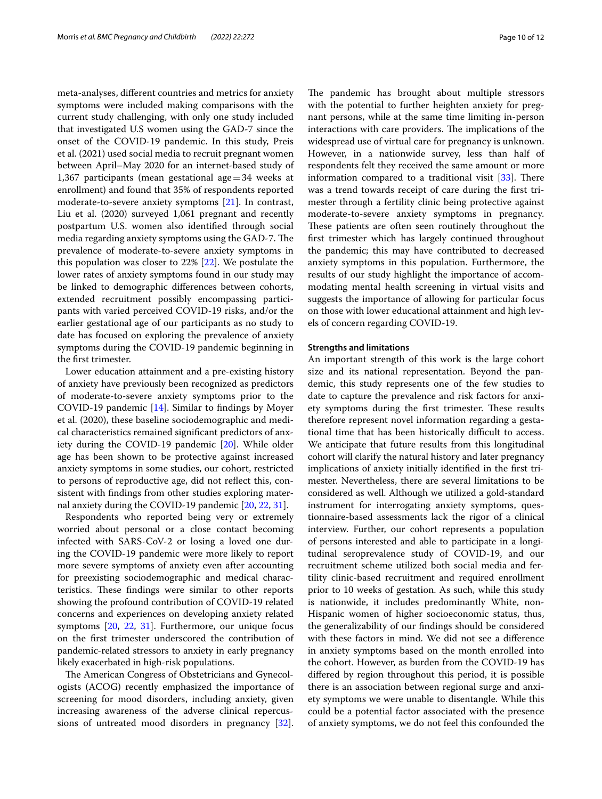meta-analyses, diferent countries and metrics for anxiety symptoms were included making comparisons with the current study challenging, with only one study included that investigated U.S women using the GAD-7 since the onset of the COVID-19 pandemic. In this study, Preis et al. (2021) used social media to recruit pregnant women between April–May 2020 for an internet-based study of 1,367 participants (mean gestational age=34 weeks at enrollment) and found that 35% of respondents reported moderate-to-severe anxiety symptoms [\[21](#page-11-9)]. In contrast, Liu et al. (2020) surveyed 1,061 pregnant and recently postpartum U.S. women also identifed through social media regarding anxiety symptoms using the GAD-7. The prevalence of moderate-to-severe anxiety symptoms in this population was closer to 22% [\[22\]](#page-11-18). We postulate the lower rates of anxiety symptoms found in our study may be linked to demographic diferences between cohorts, extended recruitment possibly encompassing participants with varied perceived COVID-19 risks, and/or the earlier gestational age of our participants as no study to date has focused on exploring the prevalence of anxiety symptoms during the COVID-19 pandemic beginning in the frst trimester.

Lower education attainment and a pre-existing history of anxiety have previously been recognized as predictors of moderate-to-severe anxiety symptoms prior to the COVID-19 pandemic [\[14\]](#page-11-19). Similar to fndings by Moyer et al. (2020), these baseline sociodemographic and medical characteristics remained signifcant predictors of anxiety during the COVID-19 pandemic [[20\]](#page-11-8). While older age has been shown to be protective against increased anxiety symptoms in some studies, our cohort, restricted to persons of reproductive age, did not refect this, consistent with fndings from other studies exploring maternal anxiety during the COVID-19 pandemic [[20,](#page-11-8) [22,](#page-11-18) [31](#page-11-20)].

Respondents who reported being very or extremely worried about personal or a close contact becoming infected with SARS-CoV-2 or losing a loved one during the COVID-19 pandemic were more likely to report more severe symptoms of anxiety even after accounting for preexisting sociodemographic and medical characteristics. These findings were similar to other reports showing the profound contribution of COVID-19 related concerns and experiences on developing anxiety related symptoms [\[20](#page-11-8), [22,](#page-11-18) [31\]](#page-11-20). Furthermore, our unique focus on the frst trimester underscored the contribution of pandemic-related stressors to anxiety in early pregnancy likely exacerbated in high-risk populations.

The American Congress of Obstetricians and Gynecologists (ACOG) recently emphasized the importance of screening for mood disorders, including anxiety, given increasing awareness of the adverse clinical repercussions of untreated mood disorders in pregnancy [\[32](#page-11-21)]. The pandemic has brought about multiple stressors with the potential to further heighten anxiety for pregnant persons, while at the same time limiting in-person interactions with care providers. The implications of the widespread use of virtual care for pregnancy is unknown. However, in a nationwide survey, less than half of respondents felt they received the same amount or more information compared to a traditional visit  $[33]$  $[33]$  $[33]$ . There was a trend towards receipt of care during the frst trimester through a fertility clinic being protective against moderate-to-severe anxiety symptoms in pregnancy. These patients are often seen routinely throughout the frst trimester which has largely continued throughout the pandemic; this may have contributed to decreased anxiety symptoms in this population. Furthermore, the results of our study highlight the importance of accommodating mental health screening in virtual visits and suggests the importance of allowing for particular focus on those with lower educational attainment and high levels of concern regarding COVID-19.

#### **Strengths and limitations**

An important strength of this work is the large cohort size and its national representation. Beyond the pandemic, this study represents one of the few studies to date to capture the prevalence and risk factors for anxiety symptoms during the first trimester. These results therefore represent novel information regarding a gestational time that has been historically difficult to access. We anticipate that future results from this longitudinal cohort will clarify the natural history and later pregnancy implications of anxiety initially identifed in the frst trimester. Nevertheless, there are several limitations to be considered as well. Although we utilized a gold-standard instrument for interrogating anxiety symptoms, questionnaire-based assessments lack the rigor of a clinical interview. Further, our cohort represents a population of persons interested and able to participate in a longitudinal seroprevalence study of COVID-19, and our recruitment scheme utilized both social media and fertility clinic-based recruitment and required enrollment prior to 10 weeks of gestation. As such, while this study is nationwide, it includes predominantly White, non-Hispanic women of higher socioeconomic status, thus, the generalizability of our fndings should be considered with these factors in mind. We did not see a diference in anxiety symptoms based on the month enrolled into the cohort. However, as burden from the COVID-19 has difered by region throughout this period, it is possible there is an association between regional surge and anxiety symptoms we were unable to disentangle. While this could be a potential factor associated with the presence of anxiety symptoms, we do not feel this confounded the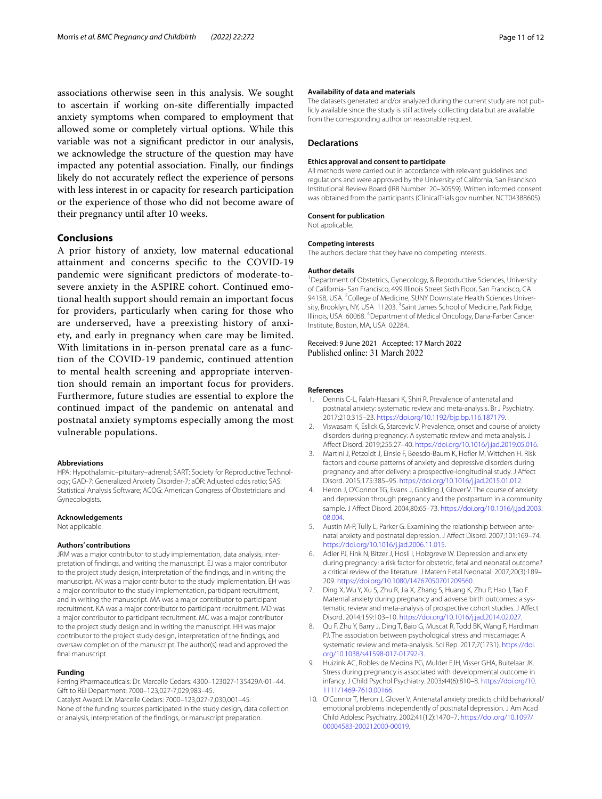associations otherwise seen in this analysis. We sought to ascertain if working on-site diferentially impacted anxiety symptoms when compared to employment that allowed some or completely virtual options. While this variable was not a signifcant predictor in our analysis, we acknowledge the structure of the question may have impacted any potential association. Finally, our fndings likely do not accurately reflect the experience of persons with less interest in or capacity for research participation or the experience of those who did not become aware of their pregnancy until after 10 weeks.

#### **Conclusions**

A prior history of anxiety, low maternal educational attainment and concerns specifc to the COVID-19 pandemic were signifcant predictors of moderate-tosevere anxiety in the ASPIRE cohort. Continued emotional health support should remain an important focus for providers, particularly when caring for those who are underserved, have a preexisting history of anxiety, and early in pregnancy when care may be limited. With limitations in in-person prenatal care as a function of the COVID-19 pandemic, continued attention to mental health screening and appropriate intervention should remain an important focus for providers. Furthermore, future studies are essential to explore the continued impact of the pandemic on antenatal and postnatal anxiety symptoms especially among the most vulnerable populations.

#### **Abbreviations**

HPA: Hypothalamic–pituitary–adrenal; SART: Society for Reproductive Technology; GAD-7: Generalized Anxiety Disorder-7; aOR: Adjusted odds ratio; SAS: Statistical Analysis Software; ACOG: American Congress of Obstetricians and Gynecologists.

#### **Acknowledgements**

Not applicable.

#### **Authors' contributions**

JRM was a major contributor to study implementation, data analysis, interpretation of fndings, and writing the manuscript. EJ was a major contributor to the project study design, interpretation of the fndings, and in writing the manuscript. AK was a major contributor to the study implementation. EH was a major contributor to the study implementation, participant recruitment, and in writing the manuscript. MA was a major contributor to participant recruitment. KA was a major contributor to participant recruitment. MD was a major contributor to participant recruitment. MC was a major contributor to the project study design and in writing the manuscript. HH was major contributor to the project study design, interpretation of the fndings, and oversaw completion of the manuscript. The author(s) read and approved the final manuscript.

#### **Funding**

Ferring Pharmaceuticals: Dr. Marcelle Cedars: 4300–123027-135429A-01–44. Gift to REI Department: 7000–123,027-7,029,983–45. Catalyst Award: Dr. Marcelle Cedars: 7000–123,027-7,030,001–45. None of the funding sources participated in the study design, data collection or analysis, interpretation of the fndings, or manuscript preparation.

#### **Availability of data and materials**

The datasets generated and/or analyzed during the current study are not publicly available since the study is still actively collecting data but are available from the corresponding author on reasonable request.

#### **Declarations**

#### **Ethics approval and consent to participate**

All methods were carried out in accordance with relevant guidelines and regulations and were approved by the University of California, San Francisco Institutional Review Board (IRB Number: 20–30559). Written informed consent was obtained from the participants (ClinicalTrials.gov number, NCT04388605).

#### **Consent for publication**

Not applicable.

#### **Competing interests**

The authors declare that they have no competing interests.

#### **Author details**

<sup>1</sup> Department of Obstetrics, Gynecology, & Reproductive Sciences, University of California- San Francisco, 499 Illinois Street Sixth Floor, San Francisco, CA 94158, USA. <sup>2</sup> College of Medicine, SUNY Downstate Health Sciences University, Brooklyn, NY, USA 11203.<sup>3</sup> Saint James School of Medicine, Park Ridge, Illinois, USA 60068. <sup>4</sup> Department of Medical Oncology, Dana-Farber Cancer Institute, Boston, MA, USA 02284.

## Received: 9 June 2021 Accepted: 17 March 2022<br>Published online: 31 March 2022

#### **References**

- <span id="page-10-0"></span>1. Dennis C-L, Falah-Hassani K, Shiri R. Prevalence of antenatal and postnatal anxiety: systematic review and meta-analysis. Br J Psychiatry. 2017;210:315–23. [https://doi.org/10.1192/bjp.bp.116.187179.](https://doi.org/10.1192/bjp.bp.116.187179)
- 2. Viswasam K, Eslick G, Starcevic V. Prevalence, onset and course of anxiety disorders during pregnancy: A systematic review and meta analysis. J Afect Disord. 2019;255:27–40. <https://doi.org/10.1016/j.jad.2019.05.016>.
- <span id="page-10-1"></span>3. Martini J, Petzoldt J, Einsle F, Beesdo-Baum K, Hofer M, Wittchen H. Risk factors and course patterns of anxiety and depressive disorders during pregnancy and after delivery: a prospective-longitudinal study. J Afect Disord. 2015;175:385–95. [https://doi.org/10.1016/j.jad.2015.01.012.](https://doi.org/10.1016/j.jad.2015.01.012)
- <span id="page-10-2"></span>Heron J, O'Connor TG, Evans J, Golding J, Glover V. The course of anxiety and depression through pregnancy and the postpartum in a community sample. J Afect Disord. 2004;80:65–73. [https://doi.org/10.1016/j.jad.2003.](https://doi.org/10.1016/j.jad.2003.08.004) [08.004](https://doi.org/10.1016/j.jad.2003.08.004).
- 5. Austin M-P, Tully L, Parker G. Examining the relationship between antenatal anxiety and postnatal depression. J Afect Disord. 2007;101:169–74. <https://doi.org/10.1016/j.jad.2006.11.015>.
- <span id="page-10-3"></span>6. Adler PJ, Fink N, Bitzer J, Hosli I, Holzgreve W. Depression and anxiety during pregnancy: a risk factor for obstetric, fetal and neonatal outcome? a critical review of the literature. J Matern Fetal Neonatal. 2007;20(3):189– 209. [https://doi.org/10.1080/14767050701209560.](https://doi.org/10.1080/14767050701209560)
- <span id="page-10-4"></span>7. Ding X, Wu Y, Xu S, Zhu R, Jia X, Zhang S, Huang K, Zhu P, Hao J, Tao F. Maternal anxiety during pregnancy and adverse birth outcomes: a systematic review and meta-analysis of prospective cohort studies. J Afect Disord. 2014;159:103–10. [https://doi.org/10.1016/j.jad.2014.02.027.](https://doi.org/10.1016/j.jad.2014.02.027)
- <span id="page-10-5"></span>8. Qu F, Zhu Y, Barry J, Ding T, Baio G, Muscat R, Todd BK, Wang F, Hardiman PJ. The association between psychological stress and miscarriage: A systematic review and meta-analysis. Sci Rep. 2017;7(1731). [https://doi.](https://doi.org/10.1038/s41598-017-01792-3) [org/10.1038/s41598-017-01792-3](https://doi.org/10.1038/s41598-017-01792-3).
- <span id="page-10-6"></span>9. Huizink AC, Robles de Medina PG, Mulder EJH, Visser GHA, Buitelaar JK. Stress during pregnancy is associated with developmental outcome in infancy. J Child Psychol Psychiatry. 2003;44(6):810–8. [https://doi.org/10.](https://doi.org/10.1111/1469-7610.00166) [1111/1469-7610.00166](https://doi.org/10.1111/1469-7610.00166).
- <span id="page-10-7"></span>10. O'Connor T, Heron J, Glover V. Antenatal anxiety predicts child behavioral/ emotional problems independently of postnatal depression. J Am Acad Child Adolesc Psychiatry. 2002;41(12):1470–7. [https://doi.org/10.1097/](https://doi.org/10.1097/00004583-200212000-00019) [00004583-200212000-00019.](https://doi.org/10.1097/00004583-200212000-00019)